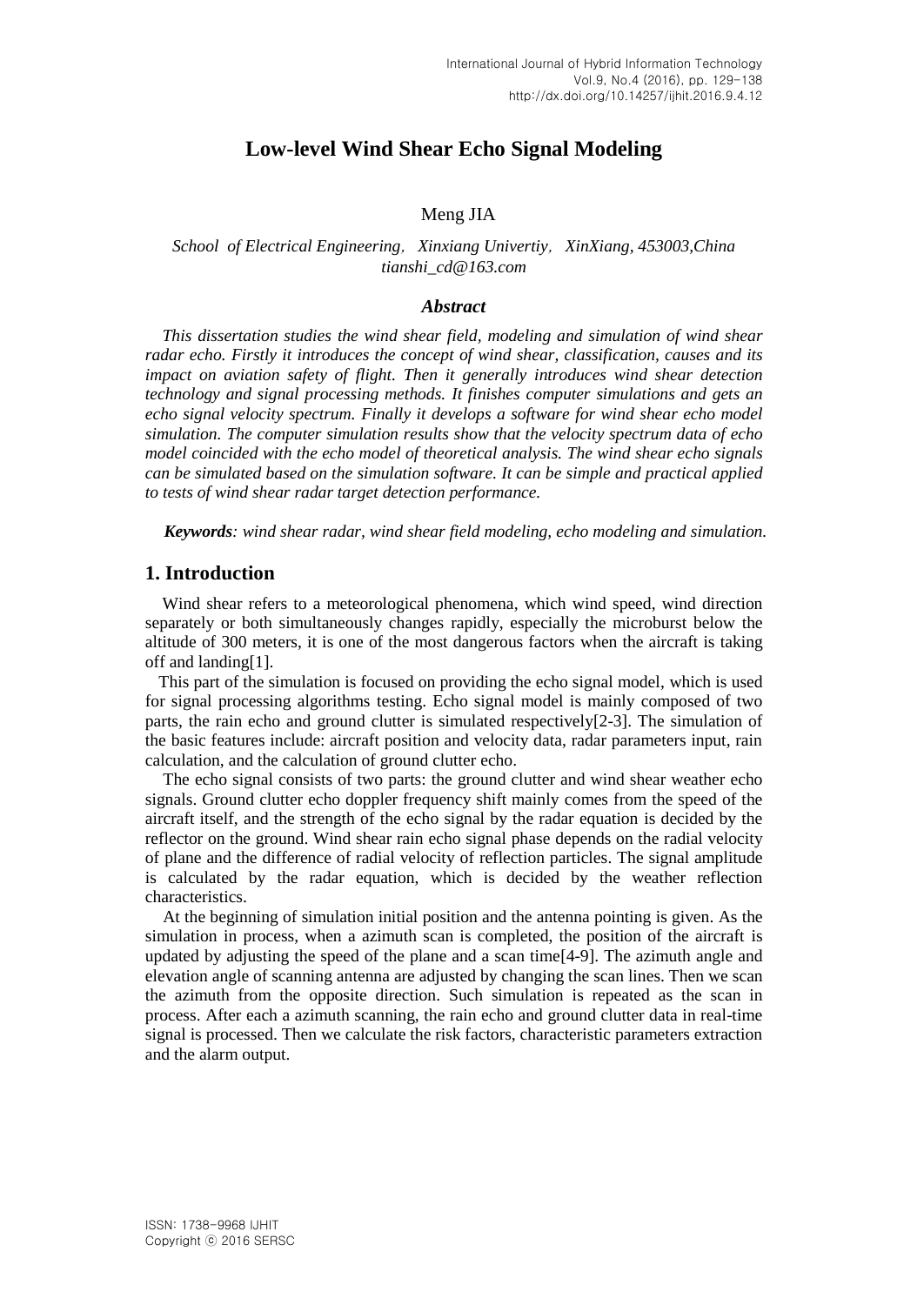# **Low-level Wind Shear Echo Signal Modeling**

### Meng JIA

### *School of Electrical Engineering*,*Xinxiang Univertiy*,*XinXiang, 453003,China tianshi\_cd@163.com*

#### *Abstract*

*This dissertation studies the wind shear field, modeling and simulation of wind shear radar echo. Firstly it introduces the concept of wind shear, classification, causes and its impact on aviation safety of flight. Then it generally introduces wind shear detection technology and signal processing methods. It finishes computer simulations and gets an echo signal velocity spectrum. Finally it develops a software for wind shear echo model simulation. The computer simulation results show that the velocity spectrum data of echo model coincided with the echo model of theoretical analysis. The wind shear echo signals can be simulated based on the simulation software. It can be simple and practical applied to tests of wind shear radar target detection performance.*

*Keywords: wind shear radar, wind shear field modeling, echo modeling and simulation.*

### **1. Introduction**

Wind shear refers to a meteorological phenomena, which wind speed, wind direction separately or both simultaneously changes rapidly, especially the microburst below the altitude of 300 meters, it is one of the most dangerous factors when the aircraft is taking off and landing[1].

 This part of the simulation is focused on providing the echo signal model, which is used for signal processing algorithms testing. Echo signal model is mainly composed of two parts, the rain echo and ground clutter is simulated respectively[2-3]. The simulation of the basic features include: aircraft position and velocity data, radar parameters input, rain calculation, and the calculation of ground clutter echo.

 The echo signal consists of two parts: the ground clutter and wind shear weather echo signals. Ground clutter echo doppler frequency shift mainly comes from the speed of the aircraft itself, and the strength of the echo signal by the radar equation is decided by the reflector on the ground. Wind shear rain echo signal phase depends on the radial velocity of plane and the difference of radial velocity of reflection particles. The signal amplitude is calculated by the radar equation, which is decided by the weather reflection characteristics.

 At the beginning of simulation initial position and the antenna pointing is given. As the simulation in process, when a azimuth scan is completed, the position of the aircraft is updated by adjusting the speed of the plane and a scan time[4-9]. The azimuth angle and elevation angle of scanning antenna are adjusted by changing the scan lines. Then we scan the azimuth from the opposite direction. Such simulation is repeated as the scan in process. After each a azimuth scanning, the rain echo and ground clutter data in real-time signal is processed. Then we calculate the risk factors, characteristic parameters extraction and the alarm output.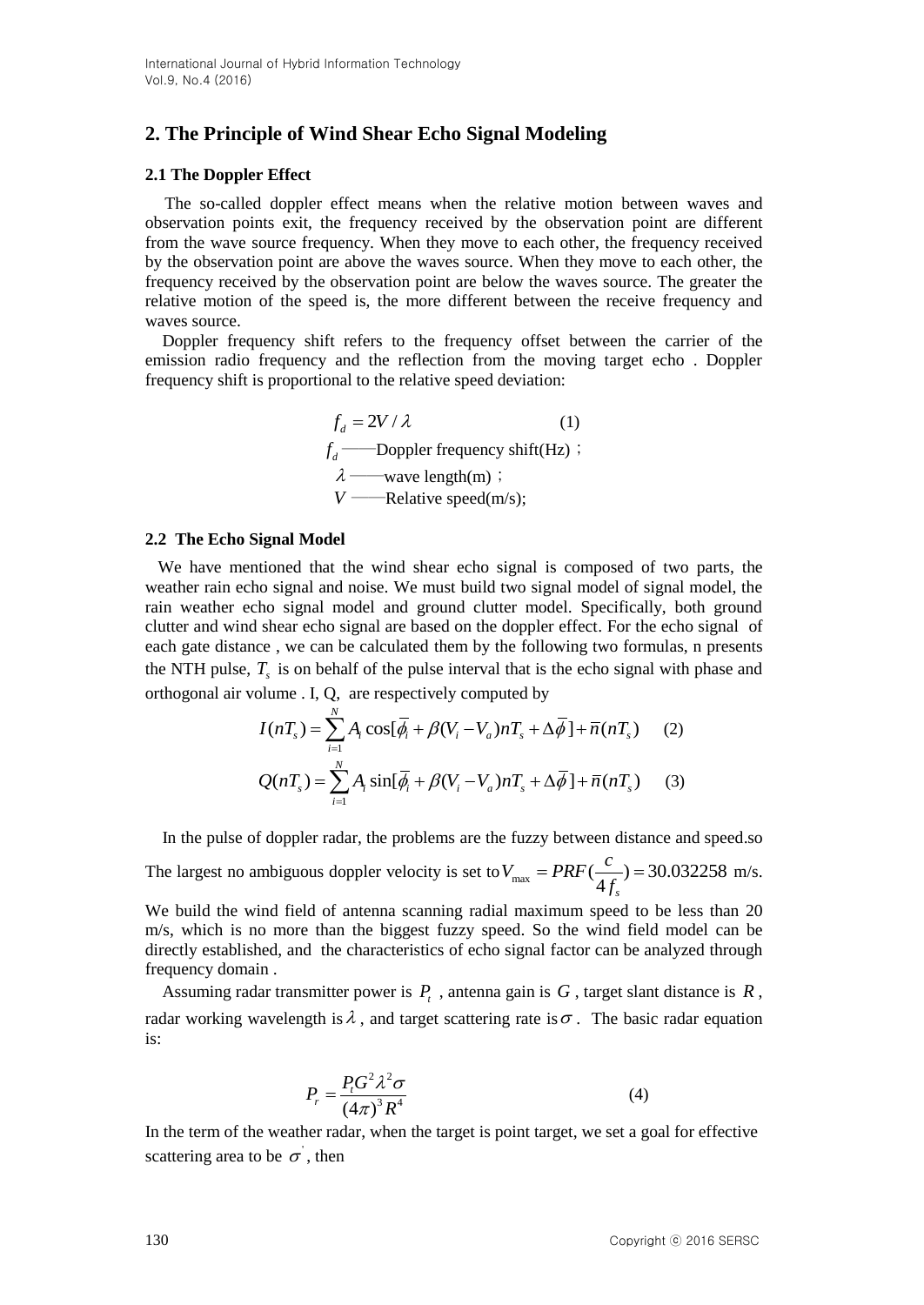# **2. The Principle of Wind Shear Echo Signal Modeling**

### **2.1 The Doppler Effect**

 The so-called doppler effect means when the relative motion between waves and observation points exit, the frequency received by the observation point are different from the wave source frequency. When they move to each other, the frequency received by the observation point are above the waves source. When they move to each other, the frequency received by the observation point are below the waves source. The greater the relative motion of the speed is, the more different between the receive frequency and waves source.

 Doppler frequency shift refers to the frequency offset between the carrier of the emission radio frequency and the reflection from the moving target echo . Doppler frequency shift is proportional to the relative speed deviation:

$$
f_d = 2V / \lambda
$$
 (1)  
\n
$$
f_d
$$
—Doppler frequency shift(Hz) ;  
\n
$$
\lambda
$$
—wave length(m) ;  
\n
$$
V
$$
—Relative speed(m/s);

#### **2.2 The Echo Signal Model**

 We have mentioned that the wind shear echo signal is composed of two parts, the weather rain echo signal and noise. We must build two signal model of signal model, the rain weather echo signal model and ground clutter model. Specifically, both ground clutter and wind shear echo signal are based on the doppler effect. For the echo signal of each gate distance , we can be calculated them by the following two formulas, n presents the NTH pulse,  $T_s$  is on behalf of the pulse interval that is the echo signal with phase and

orthogonal air volume. I, Q, are respectively computed by  
\n
$$
I(nT_s) = \sum_{i=1}^{N} A_i \cos[\overline{\phi}_i + \beta(V_i - V_a)nT_s + \Delta\overline{\phi}] + \overline{n}(nT_s)
$$
\n(2)  
\n
$$
Q(nT_s) = \sum_{i=1}^{N} A_i \sin[\overline{\phi}_i + \beta(V_i - V_a)nT_s + \Delta\overline{\phi}] + \overline{n}(nT_s)
$$

In the pulse of doppler radar, the problems are the fuzzy between distance and speed.so

The largest no ambiguous doppler velocity is set to  $V_{\text{max}} = PRF(\frac{c}{4f_s}) = 30.032258$  $V_{\text{max}} = PRF(\frac{c}{4f_s}) = 30.032258 \text{ m/s}.$ 

We build the wind field of antenna scanning radial maximum speed to be less than 20 m/s, which is no more than the biggest fuzzy speed. So the wind field model can be directly established, and the characteristics of echo signal factor can be analyzed through frequency domain .

Assuming radar transmitter power is  $P_t$ , antenna gain is  $G$ , target slant distance is  $R$ , radar working wavelength is  $\lambda$ , and target scattering rate is  $\sigma$ . The basic radar equation is:

$$
P_r = \frac{P_t G^2 \lambda^2 \sigma}{\left(4\pi\right)^3 R^4} \tag{4}
$$

In the term of the weather radar, when the target is point target, we set a goal for effective scattering area to be  $\sigma$ , then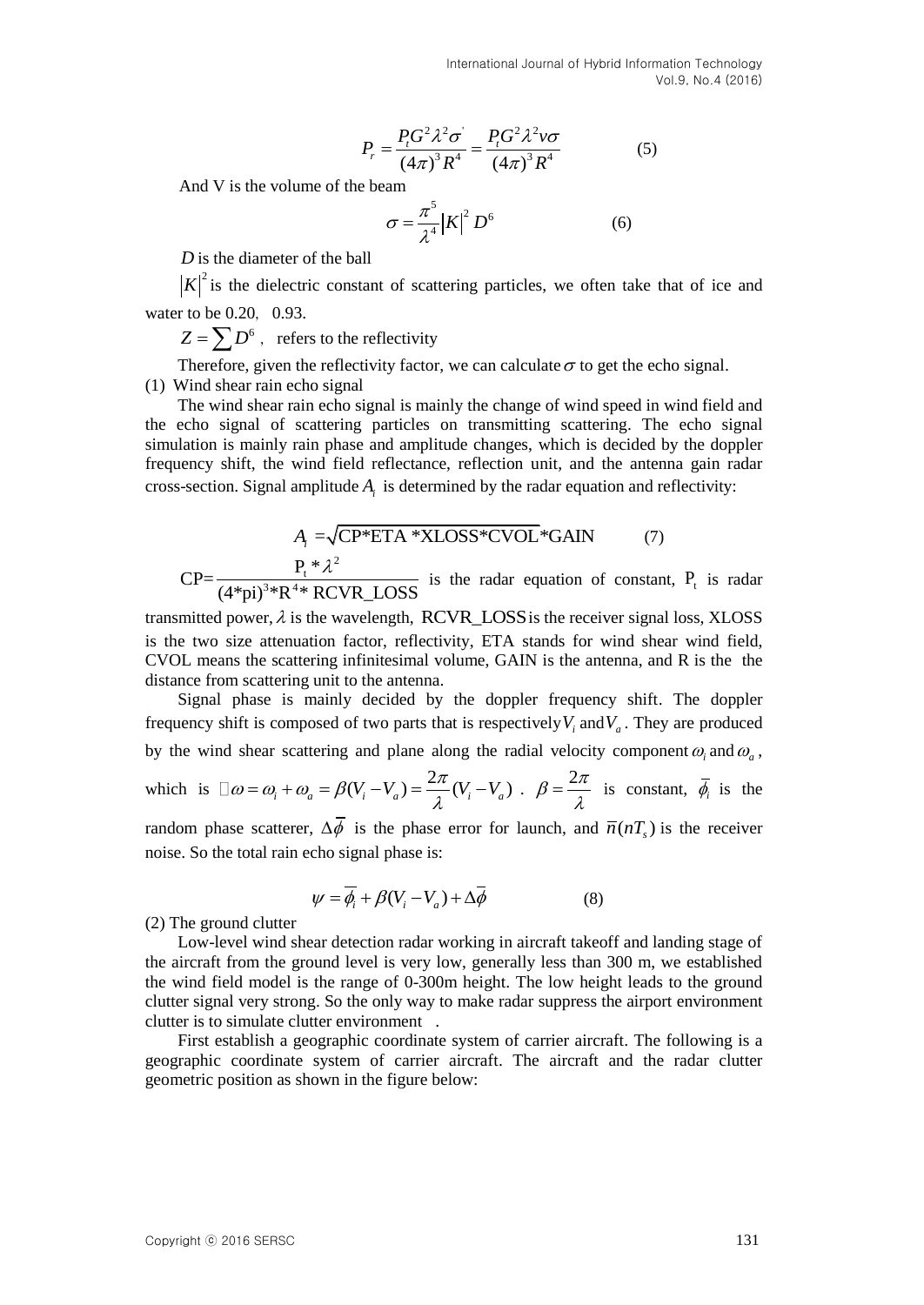$$
P_r = \frac{P_t G^2 \lambda^2 \sigma^2}{(4\pi)^3 R^4} = \frac{P_t G^2 \lambda^2 \nu \sigma}{(4\pi)^3 R^4}
$$
 (5)

And V is the volume of the beam

$$
\sigma = \frac{\pi^5}{\lambda^4} |K|^2 D^6 \tag{6}
$$

*D* is the diameter of the ball

 $K^2$  is the dielectric constant of scattering particles, we often take that of ice and water to be  $0.20$ ,  $0.93$ .

 $Z = \sum D^6$  , refers to the reflectivity

Therefore, given the reflectivity factor, we can calculate  $\sigma$  to get the echo signal. (1) Wind shear rain echo signal

The wind shear rain echo signal is mainly the change of wind speed in wind field and the echo signal of scattering particles on transmitting scattering. The echo signal simulation is mainly rain phase and amplitude changes, which is decided by the doppler frequency shift, the wind field reflectance, reflection unit, and the antenna gain radar cross-section. Signal amplitude  $A_i$  is determined by the radar equation and reflectivity:

$$
A_{i} = \sqrt{CP*ETA*XLOSS*CVOL}*GAIN
$$
 (7)  
CP=
$$
\frac{P_{t}* \lambda^{2}}{(A*ni)^{3} * R^{4} * RCVR \text{ I OSS}}
$$
 is the radar equation of constant,

 $\frac{P_t * \lambda^2}{(4^*pi)^3 * R^{4*} RCVR\_LOSS}$ is the radar equation of constant,  $P_t$  is radar

transmitted power,  $\lambda$  is the wavelength, RCVR\_LOSS is the receiver signal loss, XLOSS is the two size attenuation factor, reflectivity, ETA stands for wind shear wind field, CVOL means the scattering infinitesimal volume, GAIN is the antenna, and R is the the distance from scattering unit to the antenna.

Signal phase is mainly decided by the doppler frequency shift. The doppler frequency shift is composed of two parts that is respectively  $V_i$  and  $V_a$ . They are produced by the wind shear scattering and plane along the radial velocity component  $\omega_i$  and  $\omega_a$ , which is  $\Box \omega = \omega_i + \omega_a = \beta(V_i - V_a) = \frac{2}{\pi}$ (*o* =  $\omega_i + \omega_a = \beta(V_i - V_a) = \frac{2\pi}{\lambda}(V_i - V_a)$ .  $\beta = \frac{2\pi}{\lambda}$  is constant,  $\overline{\phi}_i$  is the random phase scatterer,  $\Delta \phi$  is the phase error for launch, and  $\bar{n}(nT_s)$  is the receiver noise. So the total rain echo signal phase is:

$$
\psi = \overline{\phi_i} + \beta (V_i - V_a) + \Delta \overline{\phi}
$$
 (8)

(2) The ground clutter

Low-level wind shear detection radar working in aircraft takeoff and landing stage of the aircraft from the ground level is very low, generally less than 300 m, we established the wind field model is the range of 0-300m height. The low height leads to the ground clutter signal very strong. So the only way to make radar suppress the airport environment clutter is to simulate clutter environment .

First establish a geographic coordinate system of carrier aircraft. The following is a geographic coordinate system of carrier aircraft. The aircraft and the radar clutter geometric position as shown in the figure below: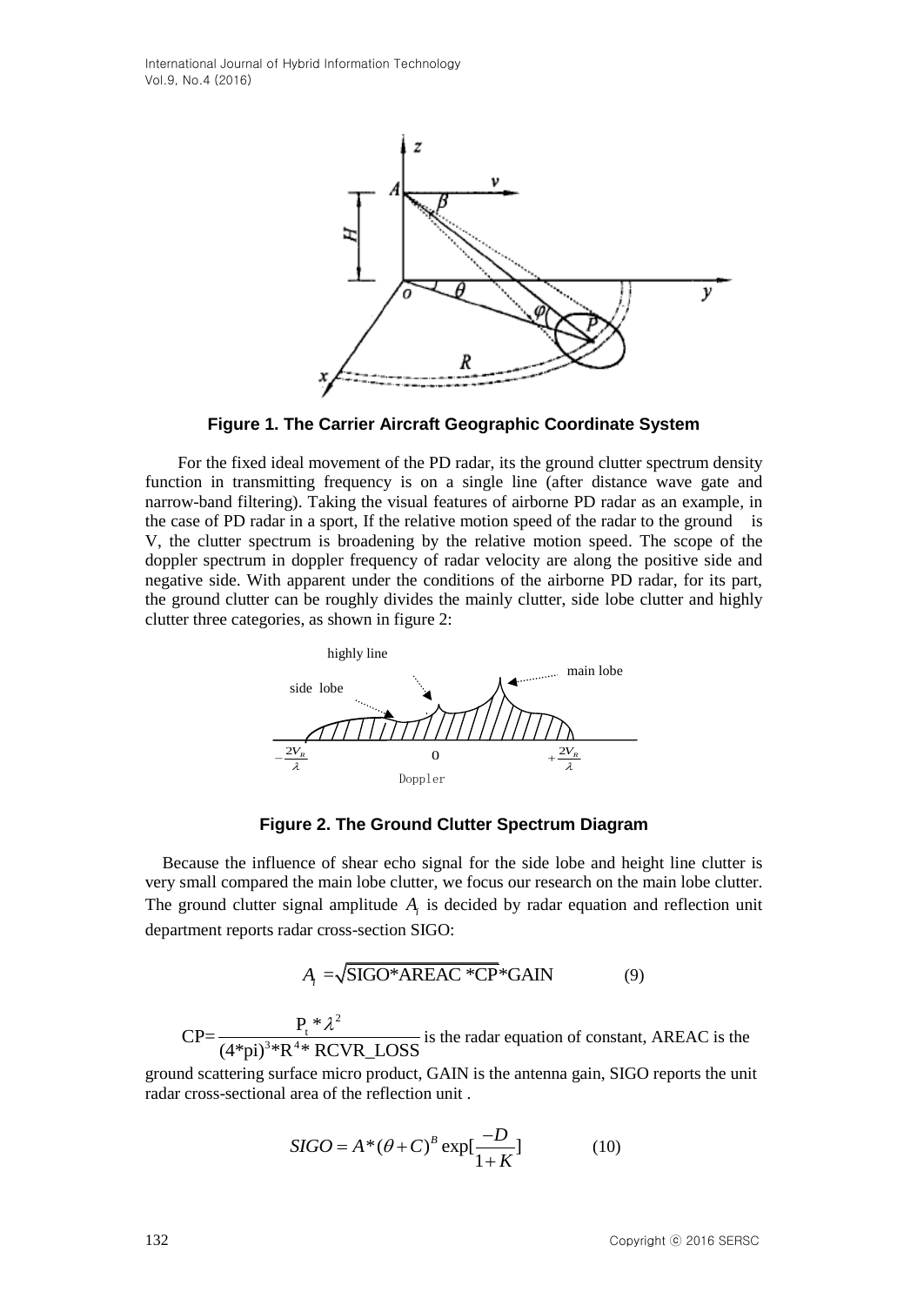International Journal of Hybrid Information Technology Vol.9, No.4 (2016)



**Figure 1. The Carrier Aircraft Geographic Coordinate System**

For the fixed ideal movement of the PD radar, its the ground clutter spectrum density function in transmitting frequency is on a single line (after distance wave gate and narrow-band filtering). Taking the visual features of airborne PD radar as an example, in the case of PD radar in a sport, If the relative motion speed of the radar to the ground is V, the clutter spectrum is broadening by the relative motion speed. The scope of the doppler spectrum in doppler frequency of radar velocity are along the positive side and negative side. With apparent under the conditions of the airborne PD radar, for its part, the ground clutter can be roughly divides the mainly clutter, side lobe clutter and highly clutter three categories, as shown in figure 2:



**Figure 2. The Ground Clutter Spectrum Diagram**

Because the influence of shear echo signal for the side lobe and height line clutter is very small compared the main lobe clutter, we focus our research on the main lobe clutter. The ground clutter signal amplitude  $A_i$  is decided by radar equation and reflection unit department reports radar cross-section SIGO:

$$
A_i = \sqrt{\text{SIGO*AREAC * CP*GAIN}} \tag{9}
$$

2  $CP=\frac{P_t^*}{(4\pi n)^3 * R^4 * R}$  $\frac{P_t * \lambda^2}{(4^* \text{pi})^3 * R^4 * RCVR\_LOSS}$  is the radar equation of constant, AREAC is the

ground scattering surface micro product, GAIN is the antenna gain, SIGO reports the unit radar cross-sectional area of the reflection unit .

$$
SIGO = A^*(\theta + C)^B \exp[\frac{-D}{1+K}]
$$
 (10)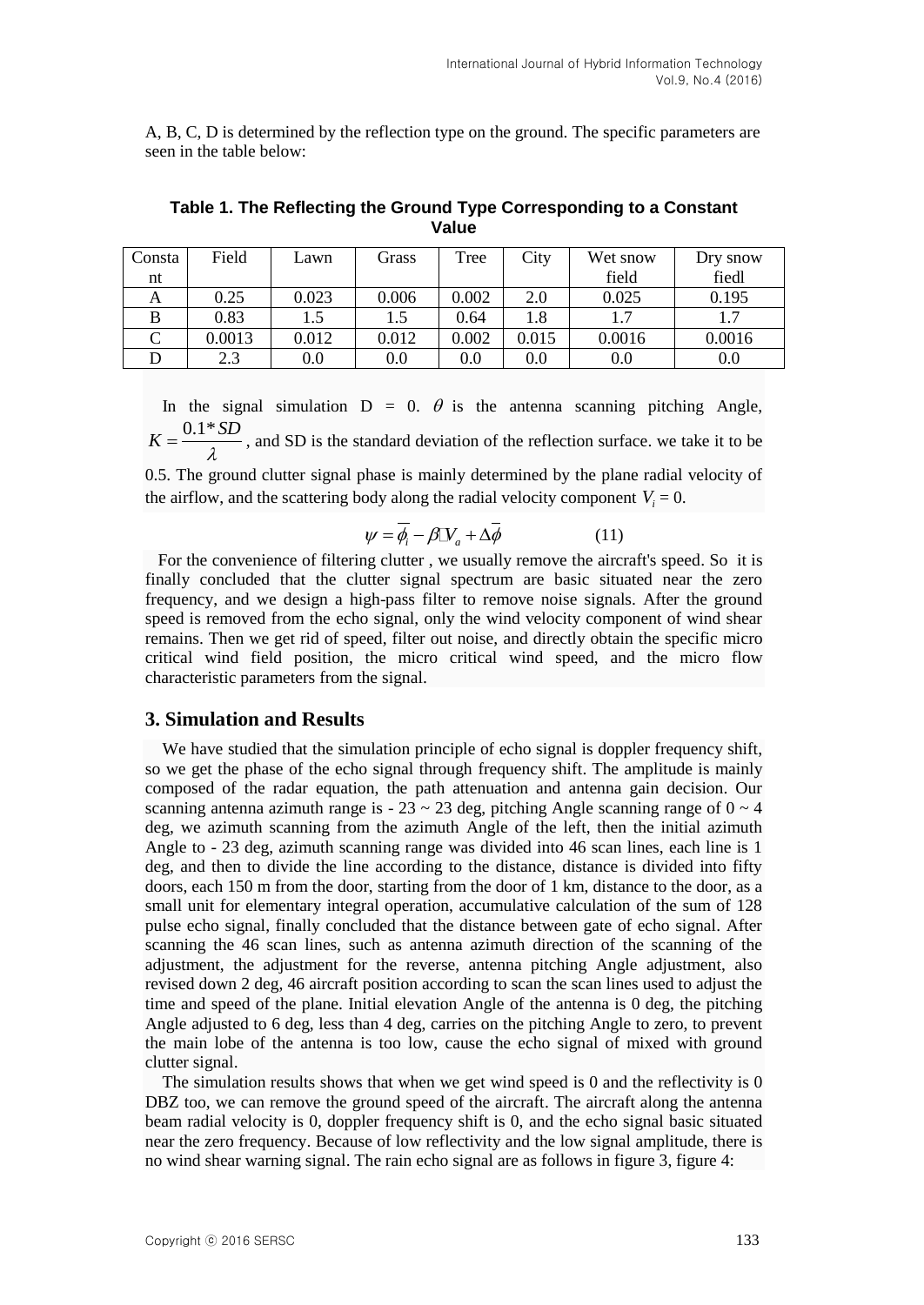A, B, C, D is determined by the reflection type on the ground. The specific parameters are seen in the table below:

| Consta | Field  | Lawn  | Grass | Tree  | City  | Wet snow | Dry snow |
|--------|--------|-------|-------|-------|-------|----------|----------|
| nt     |        |       |       |       |       | field    | fiedl    |
| А      | 0.25   | 0.023 | 0.006 | 0.002 | 2.0   | 0.025    | 0.195    |
| B      | 0.83   |       |       | 0.64  | 1.8   |          |          |
|        | 0.0013 | 0.012 | 0.012 | 0.002 | 0.015 | 0.0016   | 0.0016   |
|        | 2.3    | 0.0   | 0.0   | 0.0   | 0.0   | $0.0\,$  | 0.0      |

**Table 1. The Reflecting the Ground Type Corresponding to a Constant Value**

In the signal simulation  $D = 0$ .  $\theta$  is the antenna scanning pitching Angle,  $K = \frac{0.1 * SD}{\lambda}$ , and SD is the standard deviation of the reflection surface. we take it to be

0.5. The ground clutter signal phase is mainly determined by the plane radial velocity of the airflow, and the scattering body along the radial velocity component  $V_i = 0$ .

$$
\psi = \overline{\phi_i} - \beta \mathbb{I} \mathbb{V}_a + \Delta \overline{\phi}
$$
 (11)

 For the convenience of filtering clutter , we usually remove the aircraft's speed. So it is finally concluded that the clutter signal spectrum are basic situated near the zero frequency, and we design a high-pass filter to remove noise signals. After the ground speed is removed from the echo signal, only the wind velocity component of wind shear remains. Then we get rid of speed, filter out noise, and directly obtain the specific micro critical wind field position, the micro critical wind speed, and the micro flow characteristic parameters from the signal.

### **3. Simulation and Results**

We have studied that the simulation principle of echo signal is doppler frequency shift, so we get the phase of the echo signal through frequency shift. The amplitude is mainly composed of the radar equation, the path attenuation and antenna gain decision. Our scanning antenna azimuth range is  $-23 \sim 23$  deg, pitching Angle scanning range of  $0 \sim 4$ deg, we azimuth scanning from the azimuth Angle of the left, then the initial azimuth Angle to - 23 deg, azimuth scanning range was divided into 46 scan lines, each line is 1 deg, and then to divide the line according to the distance, distance is divided into fifty doors, each 150 m from the door, starting from the door of 1 km, distance to the door, as a small unit for elementary integral operation, accumulative calculation of the sum of 128 pulse echo signal, finally concluded that the distance between gate of echo signal. After scanning the 46 scan lines, such as antenna azimuth direction of the scanning of the adjustment, the adjustment for the reverse, antenna pitching Angle adjustment, also revised down 2 deg, 46 aircraft position according to scan the scan lines used to adjust the time and speed of the plane. Initial elevation Angle of the antenna is 0 deg, the pitching Angle adjusted to 6 deg, less than 4 deg, carries on the pitching Angle to zero, to prevent the main lobe of the antenna is too low, cause the echo signal of mixed with ground clutter signal.

The simulation results shows that when we get wind speed is 0 and the reflectivity is 0 DBZ too, we can remove the ground speed of the aircraft. The aircraft along the antenna beam radial velocity is 0, doppler frequency shift is 0, and the echo signal basic situated near the zero frequency. Because of low reflectivity and the low signal amplitude, there is no wind shear warning signal. The rain echo signal are as follows in figure 3, figure 4: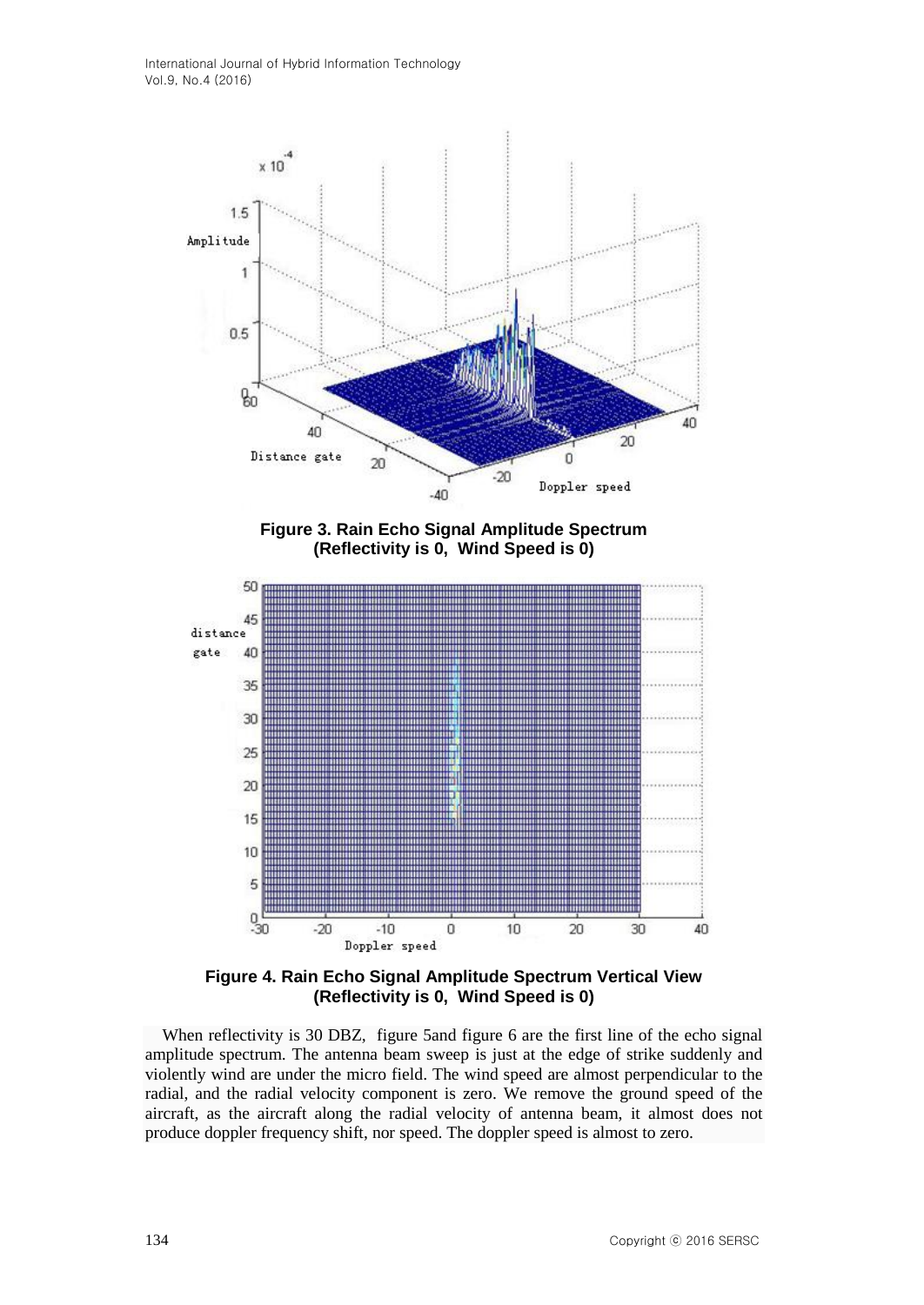

**Figure 3. Rain Echo Signal Amplitude Spectrum (Reflectivity is 0, Wind Speed is 0)**



**Figure 4. Rain Echo Signal Amplitude Spectrum Vertical View (Reflectivity is 0, Wind Speed is 0)**

 When reflectivity is 30 DBZ, figure 5and figure 6 are the first line of the echo signal amplitude spectrum. The antenna beam sweep is just at the edge of strike suddenly and violently wind are under the micro field. The wind speed are almost perpendicular to the radial, and the radial velocity component is zero. We remove the ground speed of the aircraft, as the aircraft along the radial velocity of antenna beam, it almost does not produce doppler frequency shift, nor speed. The doppler speed is almost to zero.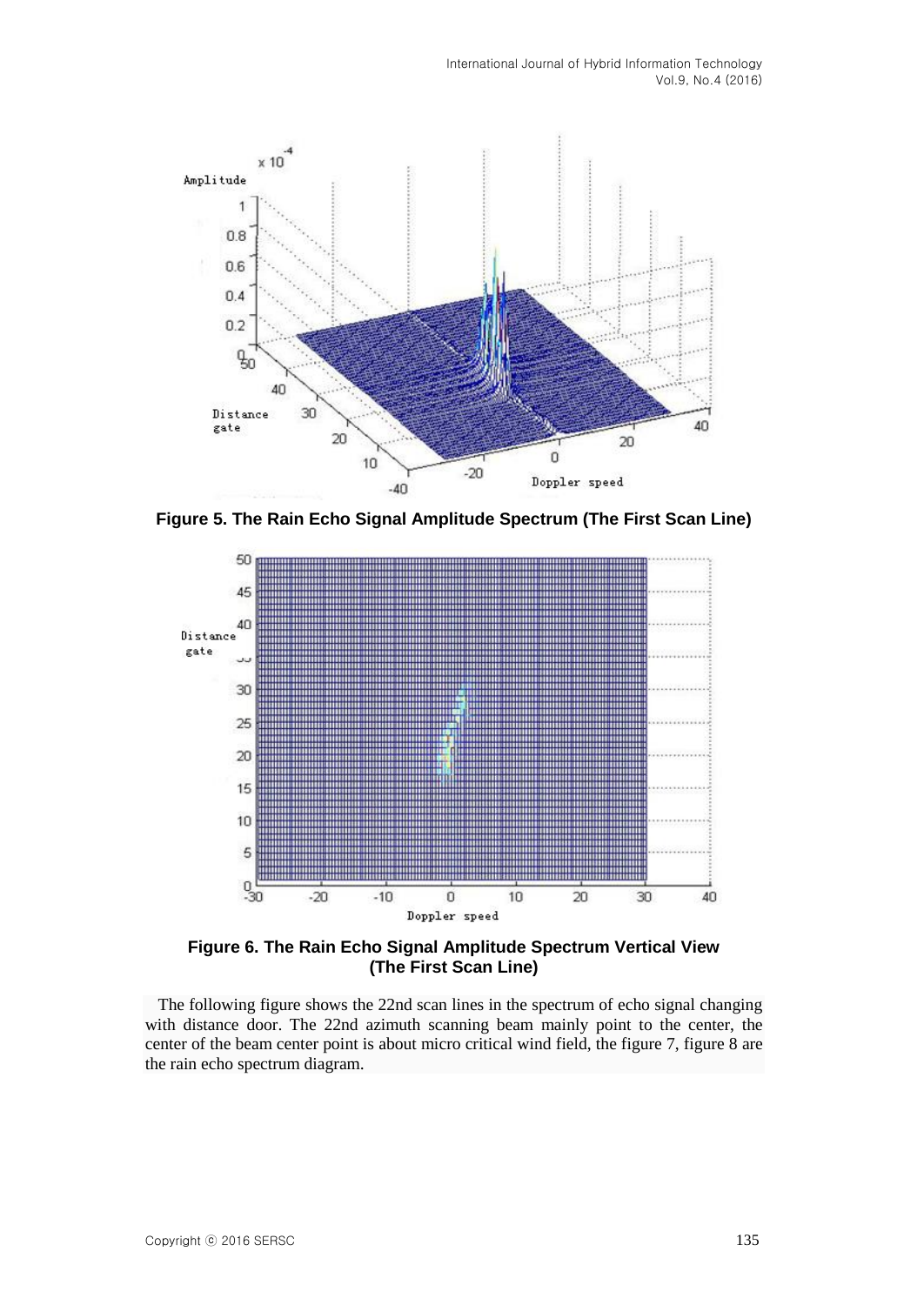

**Figure 5. The Rain Echo Signal Amplitude Spectrum (The First Scan Line)**



**Figure 6. The Rain Echo Signal Amplitude Spectrum Vertical View (The First Scan Line)**

 The following figure shows the 22nd scan lines in the spectrum of echo signal changing with distance door. The 22nd azimuth scanning beam mainly point to the center, the center of the beam center point is about micro critical wind field, the figure 7, figure 8 are the rain echo spectrum diagram.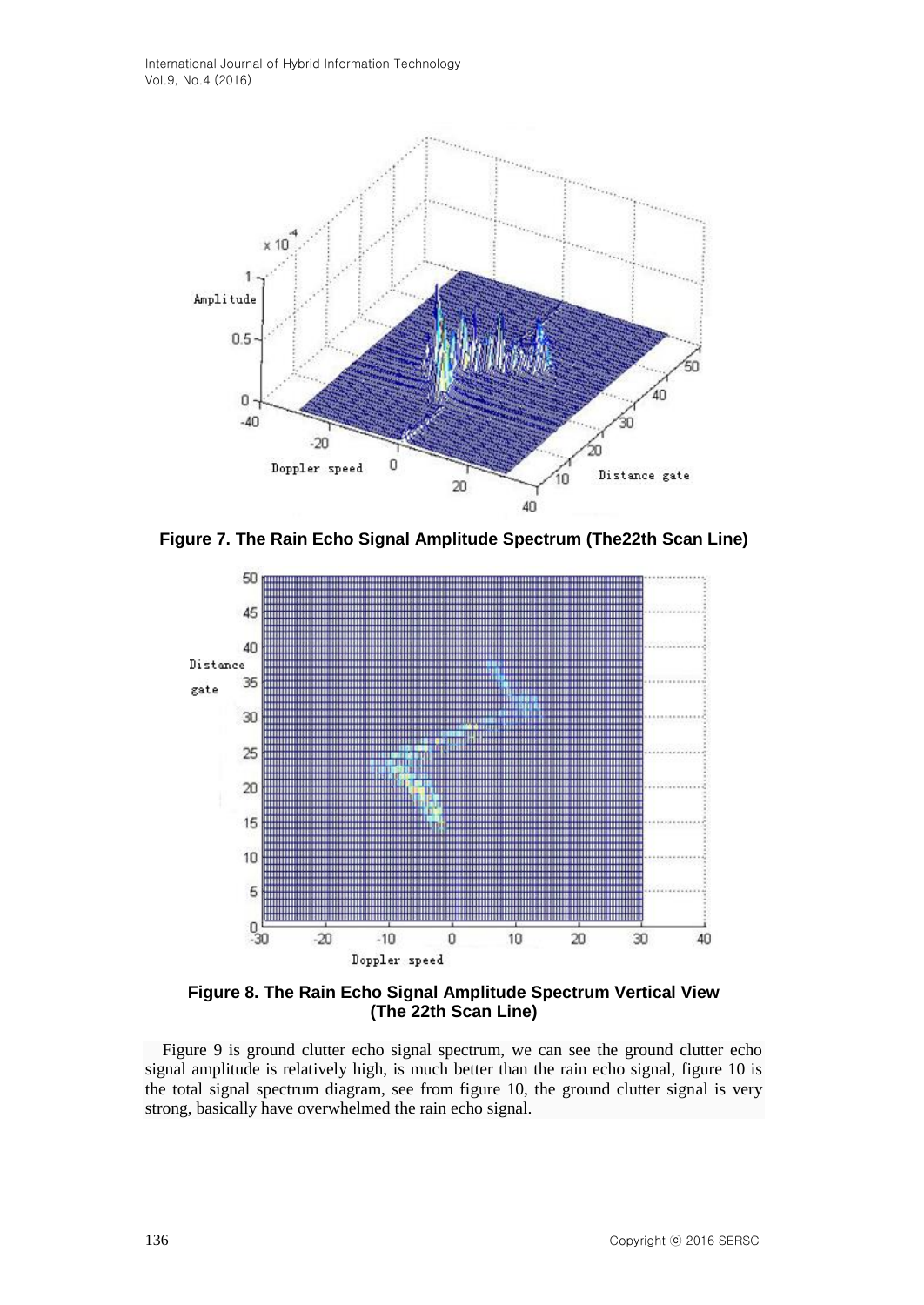International Journal of Hybrid Information Technology Vol.9, No.4 (2016)



**Figure 7. The Rain Echo Signal Amplitude Spectrum (The22th Scan Line)**



**Figure 8. The Rain Echo Signal Amplitude Spectrum Vertical View (The 22th Scan Line)**

 Figure 9 is ground clutter echo signal spectrum, we can see the ground clutter echo signal amplitude is relatively high, is much better than the rain echo signal, figure 10 is the total signal spectrum diagram, see from figure 10, the ground clutter signal is very strong, basically have overwhelmed the rain echo signal.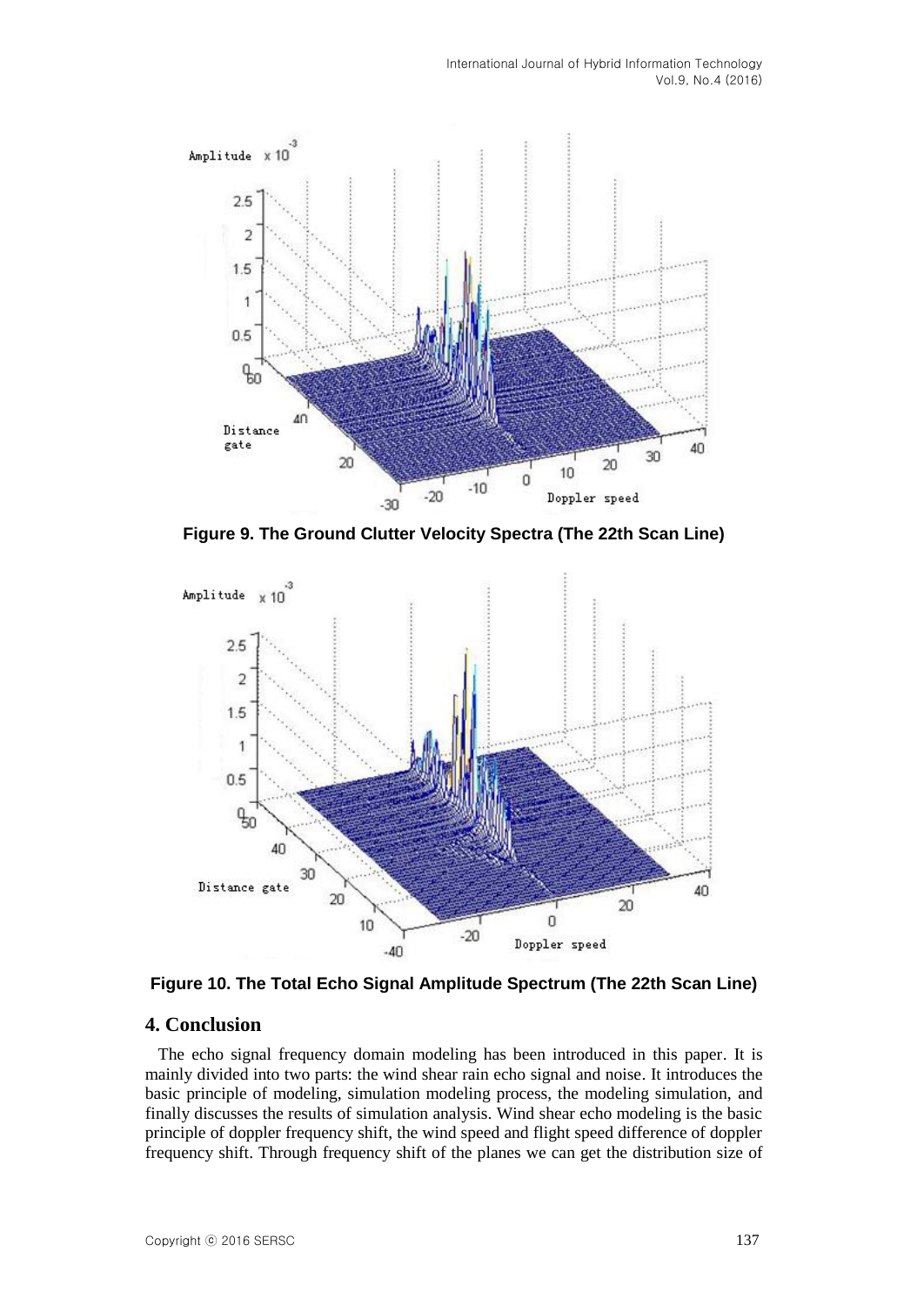

**Figure 9. The Ground Clutter Velocity Spectra (The 22th Scan Line)**



**Figure 10. The Total Echo Signal Amplitude Spectrum (The 22th Scan Line)**

### **4. Conclusion**

 The echo signal frequency domain modeling has been introduced in this paper. It is mainly divided into two parts: the wind shear rain echo signal and noise. It introduces the basic principle of modeling, simulation modeling process, the modeling simulation, and finally discusses the results of simulation analysis. Wind shear echo modeling is the basic principle of doppler frequency shift, the wind speed and flight speed difference of doppler frequency shift. Through frequency shift of the planes we can get the distribution size of